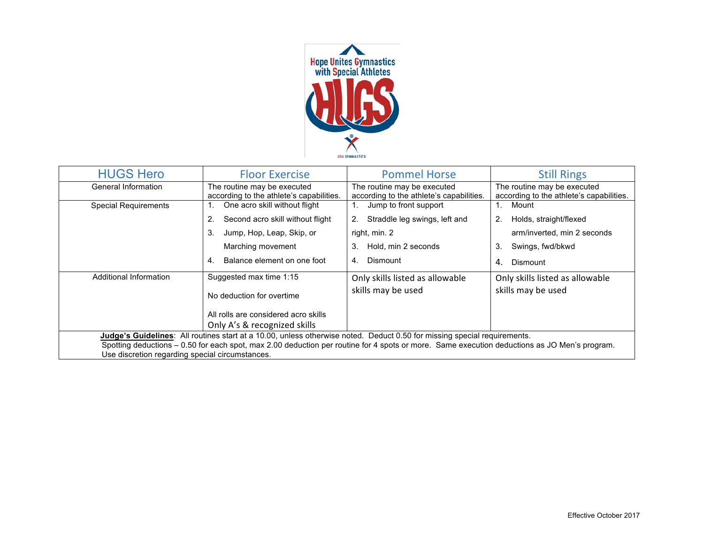

| <b>HUGS Hero</b>                                                                                                                                                                                | <b>Floor Exercise</b>                                                   | <b>Pommel Horse</b>                                                     | <b>Still Rings</b>                                                      |  |
|-------------------------------------------------------------------------------------------------------------------------------------------------------------------------------------------------|-------------------------------------------------------------------------|-------------------------------------------------------------------------|-------------------------------------------------------------------------|--|
| General Information                                                                                                                                                                             | The routine may be executed<br>according to the athlete's capabilities. | The routine may be executed<br>according to the athlete's capabilities. | The routine may be executed<br>according to the athlete's capabilities. |  |
| <b>Special Requirements</b>                                                                                                                                                                     | One acro skill without flight<br>1.                                     | Jump to front support<br>1.                                             | Mount<br>1.                                                             |  |
|                                                                                                                                                                                                 | Second acro skill without flight<br>2.                                  | Straddle leg swings, left and<br>2.                                     | Holds, straight/flexed<br>2.                                            |  |
|                                                                                                                                                                                                 | 3.<br>Jump, Hop, Leap, Skip, or                                         | right, min. 2                                                           | arm/inverted, min 2 seconds                                             |  |
|                                                                                                                                                                                                 | Marching movement                                                       | Hold, min 2 seconds<br>3.                                               | Swings, fwd/bkwd<br>3.                                                  |  |
|                                                                                                                                                                                                 | Balance element on one foot<br>4.                                       | Dismount<br>4.                                                          | Dismount<br>4.                                                          |  |
| Additional Information                                                                                                                                                                          | Suggested max time 1:15                                                 | Only skills listed as allowable                                         | Only skills listed as allowable                                         |  |
|                                                                                                                                                                                                 | No deduction for overtime                                               | skills may be used                                                      | skills may be used                                                      |  |
|                                                                                                                                                                                                 | All rolls are considered acro skills                                    |                                                                         |                                                                         |  |
|                                                                                                                                                                                                 | Only A's & recognized skills                                            |                                                                         |                                                                         |  |
| Judge's Guidelines: All routines start at a 10.00, unless otherwise noted. Deduct 0.50 for missing special requirements.                                                                        |                                                                         |                                                                         |                                                                         |  |
| Spotting deductions - 0.50 for each spot, max 2.00 deduction per routine for 4 spots or more. Same execution deductions as JO Men's program.<br>Use discretion regarding special circumstances. |                                                                         |                                                                         |                                                                         |  |
|                                                                                                                                                                                                 |                                                                         |                                                                         |                                                                         |  |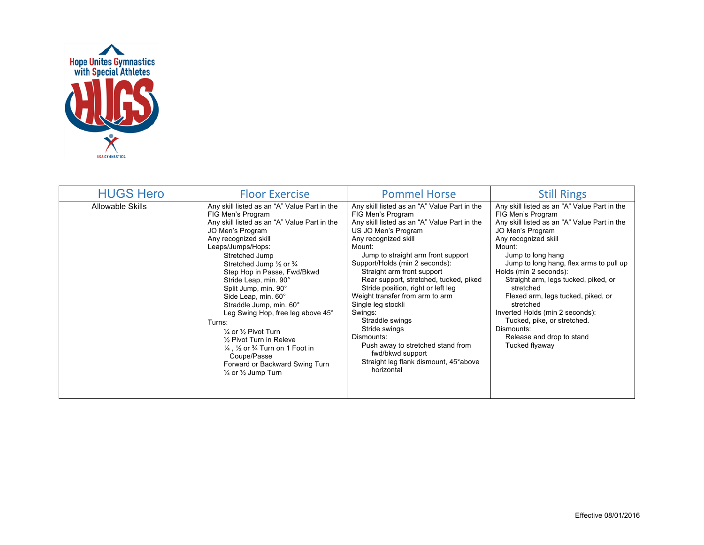

| <b>HUGS Hero</b>        | <b>Floor Exercise</b>                                                                                                                                                                                                                                                                                                                                                                                                                                                                                                                                                                                                                              | <b>Pommel Horse</b>                                                                                                                                                                                                                                                                                                                                                                                                                                                                                                                                                                                     | <b>Still Rings</b>                                                                                                                                                                                                                                                                                                                                                                                                                                                                                       |
|-------------------------|----------------------------------------------------------------------------------------------------------------------------------------------------------------------------------------------------------------------------------------------------------------------------------------------------------------------------------------------------------------------------------------------------------------------------------------------------------------------------------------------------------------------------------------------------------------------------------------------------------------------------------------------------|---------------------------------------------------------------------------------------------------------------------------------------------------------------------------------------------------------------------------------------------------------------------------------------------------------------------------------------------------------------------------------------------------------------------------------------------------------------------------------------------------------------------------------------------------------------------------------------------------------|----------------------------------------------------------------------------------------------------------------------------------------------------------------------------------------------------------------------------------------------------------------------------------------------------------------------------------------------------------------------------------------------------------------------------------------------------------------------------------------------------------|
| <b>Allowable Skills</b> | Any skill listed as an "A" Value Part in the<br>FIG Men's Program<br>Any skill listed as an "A" Value Part in the<br>JO Men's Program<br>Any recognized skill<br>Leaps/Jumps/Hops:<br>Stretched Jump<br>Stretched Jump 1/2 or 3/4<br>Step Hop in Passe, Fwd/Bkwd<br>Stride Leap, min. 90°<br>Split Jump, min. 90°<br>Side Leap, min. 60°<br>Straddle Jump, min. 60°<br>Leg Swing Hop, free leg above 45°<br>Turns:<br>$\frac{1}{4}$ or $\frac{1}{2}$ Pivot Turn<br>$\frac{1}{2}$ Pivot Turn in Releve<br>$\frac{1}{4}$ , $\frac{1}{2}$ or $\frac{3}{4}$ Turn on 1 Foot in<br>Coupe/Passe<br>Forward or Backward Swing Turn<br>1/4 or 1/2 Jump Turn | Any skill listed as an "A" Value Part in the<br>FIG Men's Program<br>Any skill listed as an "A" Value Part in the<br>US JO Men's Program<br>Any recognized skill<br>Mount:<br>Jump to straight arm front support<br>Support/Holds (min 2 seconds):<br>Straight arm front support<br>Rear support, stretched, tucked, piked<br>Stride position, right or left leg<br>Weight transfer from arm to arm<br>Single leg stockli<br>Swings:<br>Straddle swings<br>Stride swings<br>Dismounts:<br>Push away to stretched stand from<br>fwd/bkwd support<br>Straight leg flank dismount, 45° above<br>horizontal | Any skill listed as an "A" Value Part in the<br>FIG Men's Program<br>Any skill listed as an "A" Value Part in the<br>JO Men's Program<br>Any recognized skill<br>Mount:<br>Jump to long hang<br>Jump to long hang, flex arms to pull up<br>Holds (min 2 seconds):<br>Straight arm, legs tucked, piked, or<br>stretched<br>Flexed arm, legs tucked, piked, or<br>stretched<br>Inverted Holds (min 2 seconds):<br>Tucked, pike, or stretched.<br>Dismounts:<br>Release and drop to stand<br>Tucked flyaway |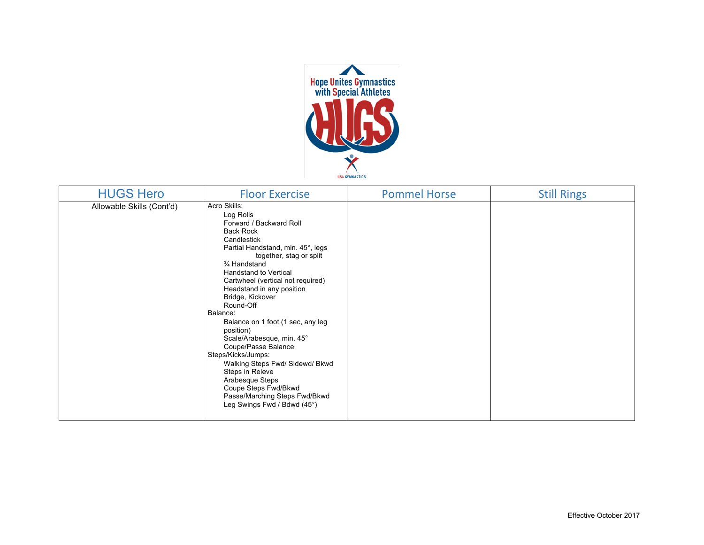

| <b>HUGS Hero</b>          | <b>Floor Exercise</b>                                                                                                                                                                                                                                                                                                                                                                                                                                                                                                                                                                                                | <b>Pommel Horse</b> | <b>Still Rings</b> |
|---------------------------|----------------------------------------------------------------------------------------------------------------------------------------------------------------------------------------------------------------------------------------------------------------------------------------------------------------------------------------------------------------------------------------------------------------------------------------------------------------------------------------------------------------------------------------------------------------------------------------------------------------------|---------------------|--------------------|
| Allowable Skills (Cont'd) | Acro Skills:<br>Log Rolls<br>Forward / Backward Roll<br><b>Back Rock</b><br>Candlestick<br>Partial Handstand, min. 45°, legs<br>together, stag or split<br>3⁄4 Handstand<br><b>Handstand to Vertical</b><br>Cartwheel (vertical not required)<br>Headstand in any position<br>Bridge, Kickover<br>Round-Off<br>Balance:<br>Balance on 1 foot (1 sec, any leg<br>position)<br>Scale/Arabesque, min. 45°<br>Coupe/Passe Balance<br>Steps/Kicks/Jumps:<br>Walking Steps Fwd/ Sidewd/ Bkwd<br>Steps in Releve<br>Arabesque Steps<br>Coupe Steps Fwd/Bkwd<br>Passe/Marching Steps Fwd/Bkwd<br>Leg Swings Fwd / Bdwd (45°) |                     |                    |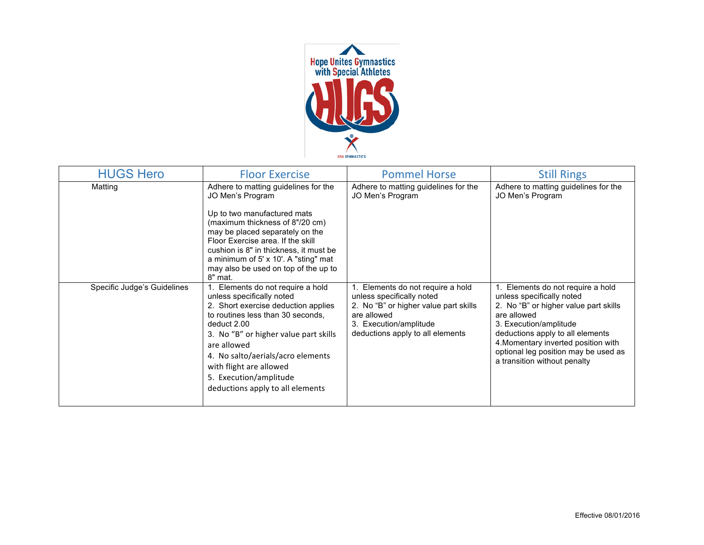

| <b>HUGS Hero</b>            | <b>Floor Exercise</b>                                                                                                                                                                                                                                                                                                                           | <b>Pommel Horse</b>                                                                                                                                                               | <b>Still Rings</b>                                                                                                                                                                                                                                                                                  |
|-----------------------------|-------------------------------------------------------------------------------------------------------------------------------------------------------------------------------------------------------------------------------------------------------------------------------------------------------------------------------------------------|-----------------------------------------------------------------------------------------------------------------------------------------------------------------------------------|-----------------------------------------------------------------------------------------------------------------------------------------------------------------------------------------------------------------------------------------------------------------------------------------------------|
| Matting                     | Adhere to matting guidelines for the<br>JO Men's Program<br>Up to two manufactured mats<br>(maximum thickness of 8"/20 cm)<br>may be placed separately on the<br>Floor Exercise area. If the skill<br>cushion is 8" in thickness, it must be<br>a minimum of 5' x 10'. A "sting" mat<br>may also be used on top of the up to<br>8" mat.         | Adhere to matting guidelines for the<br>JO Men's Program                                                                                                                          | Adhere to matting guidelines for the<br>JO Men's Program                                                                                                                                                                                                                                            |
| Specific Judge's Guidelines | 1. Elements do not require a hold<br>unless specifically noted<br>2. Short exercise deduction applies<br>to routines less than 30 seconds,<br>deduct 2.00<br>3. No "B" or higher value part skills<br>are allowed<br>4. No salto/aerials/acro elements<br>with flight are allowed<br>5. Execution/amplitude<br>deductions apply to all elements | Elements do not require a hold<br>unless specifically noted<br>2. No "B" or higher value part skills<br>are allowed<br>3. Execution/amplitude<br>deductions apply to all elements | 1. Elements do not require a hold<br>unless specifically noted<br>2. No "B" or higher value part skills<br>are allowed<br>3. Execution/amplitude<br>deductions apply to all elements<br>4. Momentary inverted position with<br>optional leg position may be used as<br>a transition without penalty |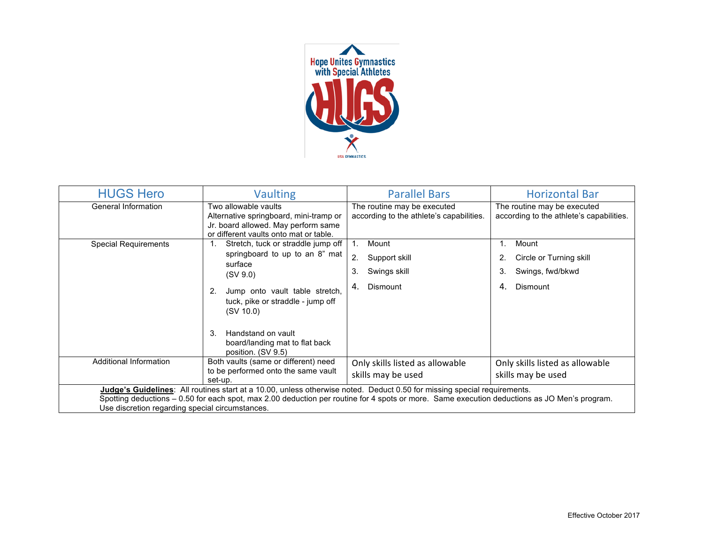

| <b>HUGS Hero</b>                                                                                                                                                                                                                                                                                                            | <b>Vaulting</b>                                                                                                                                                                                                                                           | <b>Parallel Bars</b>                                                       | <b>Horizontal Bar</b>                                                              |
|-----------------------------------------------------------------------------------------------------------------------------------------------------------------------------------------------------------------------------------------------------------------------------------------------------------------------------|-----------------------------------------------------------------------------------------------------------------------------------------------------------------------------------------------------------------------------------------------------------|----------------------------------------------------------------------------|------------------------------------------------------------------------------------|
| General Information                                                                                                                                                                                                                                                                                                         | Two allowable vaults<br>Alternative springboard, mini-tramp or<br>Jr. board allowed. May perform same<br>or different vaults onto mat or table.                                                                                                           | The routine may be executed<br>according to the athlete's capabilities.    | The routine may be executed<br>according to the athlete's capabilities.            |
| <b>Special Requirements</b>                                                                                                                                                                                                                                                                                                 | Stretch, tuck or straddle jump off<br>1.<br>springboard to up to an 8" mat<br>surface<br>(SV 9.0)<br>Jump onto vault table stretch,<br>2.<br>tuck, pike or straddle - jump off<br>(SV 10.0)<br>Handstand on vault<br>3.<br>board/landing mat to flat back | Mount<br>1.<br>2.<br>Support skill<br>Swings skill<br>3.<br>Dismount<br>4. | Mount<br>1.<br>Circle or Turning skill<br>Swings, fwd/bkwd<br>3.<br>4.<br>Dismount |
| Additional Information                                                                                                                                                                                                                                                                                                      | position. (SV 9.5)<br>Both vaults (same or different) need<br>to be performed onto the same vault                                                                                                                                                         | Only skills listed as allowable                                            | Only skills listed as allowable                                                    |
|                                                                                                                                                                                                                                                                                                                             | set-up.                                                                                                                                                                                                                                                   | skills may be used                                                         | skills may be used                                                                 |
| Judge's Guidelines: All routines start at a 10.00, unless otherwise noted. Deduct 0.50 for missing special requirements.<br>Spotting deductions – 0.50 for each spot, max 2.00 deduction per routine for 4 spots or more. Same execution deductions as JO Men's program.<br>Use discretion regarding special circumstances. |                                                                                                                                                                                                                                                           |                                                                            |                                                                                    |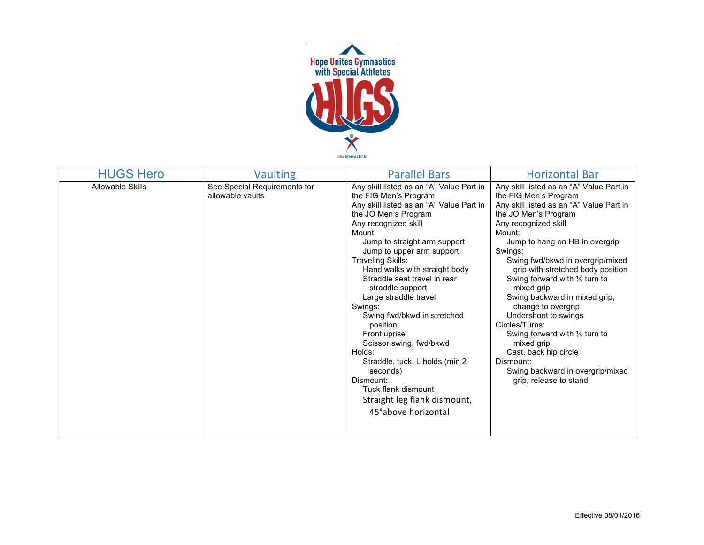

| <b>HUGS Hero</b>        | <b>Vaulting</b>                                  | <b>Parallel Bars</b>                                                                                                                                                                                                                                                                                                                                                                                                                                                                                                                                                                                                               | <b>Horizontal Bar</b>                                                                                                                                                                                                                                                                                                                                                                                                                                                                                                                                                                                                  |
|-------------------------|--------------------------------------------------|------------------------------------------------------------------------------------------------------------------------------------------------------------------------------------------------------------------------------------------------------------------------------------------------------------------------------------------------------------------------------------------------------------------------------------------------------------------------------------------------------------------------------------------------------------------------------------------------------------------------------------|------------------------------------------------------------------------------------------------------------------------------------------------------------------------------------------------------------------------------------------------------------------------------------------------------------------------------------------------------------------------------------------------------------------------------------------------------------------------------------------------------------------------------------------------------------------------------------------------------------------------|
| <b>Allowable Skills</b> | See Special Requirements for<br>allowable vaults | Any skill listed as an "A" Value Part in<br>the FIG Men's Program<br>Any skill listed as an "A" Value Part in<br>the JO Men's Program<br>Any recognized skill<br>Mount:<br>Jump to straight arm support<br>Jump to upper arm support<br><b>Traveling Skills:</b><br>Hand walks with straight body<br>Straddle seat travel in rear<br>straddle support<br>Large straddle travel<br>Swings:<br>Swing fwd/bkwd in stretched<br>position<br>Front uprise<br>Scissor swing, fwd/bkwd<br>Holds:<br>Straddle, tuck, L holds (min 2<br>seconds)<br>Dismount:<br>Tuck flank dismount<br>Straight leg flank dismount,<br>45°above horizontal | Any skill listed as an "A" Value Part in<br>the FIG Men's Program<br>Any skill listed as an "A" Value Part in<br>the JO Men's Program<br>Any recognized skill<br>Mount:<br>Jump to hang on HB in overgrip<br>Swings:<br>Swing fwd/bkwd in overgrip/mixed<br>grip with stretched body position<br>Swing forward with $\frac{1}{2}$ turn to<br>mixed grip<br>Swing backward in mixed grip,<br>change to overgrip<br>Undershoot to swings<br>Circles/Turns:<br>Swing forward with $\frac{1}{2}$ turn to<br>mixed grip<br>Cast, back hip circle<br>Dismount:<br>Swing backward in overgrip/mixed<br>grip, release to stand |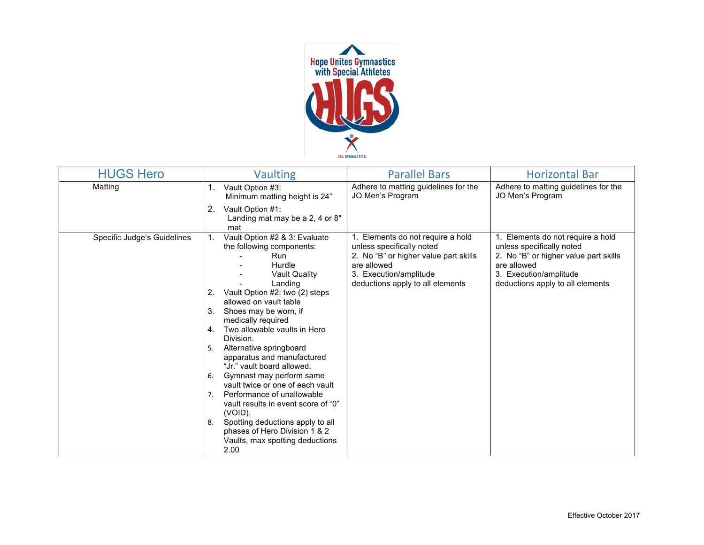

| <b>HUGS Hero</b>            | <b>Vaulting</b>                                                                                                                                                                                                                                                                                                                                                                                                                                                                                                                                                                                                                                                                | <b>Parallel Bars</b>                                                                                                                                                                 | <b>Horizontal Bar</b>                                                                                                                                                                |
|-----------------------------|--------------------------------------------------------------------------------------------------------------------------------------------------------------------------------------------------------------------------------------------------------------------------------------------------------------------------------------------------------------------------------------------------------------------------------------------------------------------------------------------------------------------------------------------------------------------------------------------------------------------------------------------------------------------------------|--------------------------------------------------------------------------------------------------------------------------------------------------------------------------------------|--------------------------------------------------------------------------------------------------------------------------------------------------------------------------------------|
| Matting                     | 1.<br>Vault Option #3:<br>Minimum matting height is 24"                                                                                                                                                                                                                                                                                                                                                                                                                                                                                                                                                                                                                        | Adhere to matting guidelines for the<br>JO Men's Program                                                                                                                             | Adhere to matting guidelines for the<br>JO Men's Program                                                                                                                             |
|                             | 2.<br>Vault Option #1:<br>Landing mat may be a 2, 4 or 8"<br>mat                                                                                                                                                                                                                                                                                                                                                                                                                                                                                                                                                                                                               |                                                                                                                                                                                      |                                                                                                                                                                                      |
| Specific Judge's Guidelines | Vault Option #2 & 3: Evaluate<br>the following components:<br><b>Run</b><br>Hurdle<br><b>Vault Quality</b><br>Landing<br>Vault Option #2: two (2) steps<br>2.<br>allowed on vault table<br>Shoes may be worn, if<br>3.<br>medically required<br>Two allowable vaults in Hero<br>4.<br>Division.<br>Alternative springboard<br>5.<br>apparatus and manufactured<br>"Jr." vault board allowed.<br>Gymnast may perform same<br>6.<br>vault twice or one of each vault<br>Performance of unallowable<br>7.<br>vault results in event score of "0"<br>(VOID).<br>Spotting deductions apply to all<br>8.<br>phases of Hero Division 1 & 2<br>Vaults, max spotting deductions<br>2.00 | 1. Elements do not require a hold<br>unless specifically noted<br>2. No "B" or higher value part skills<br>are allowed<br>3. Execution/amplitude<br>deductions apply to all elements | 1. Elements do not require a hold<br>unless specifically noted<br>2. No "B" or higher value part skills<br>are allowed<br>3. Execution/amplitude<br>deductions apply to all elements |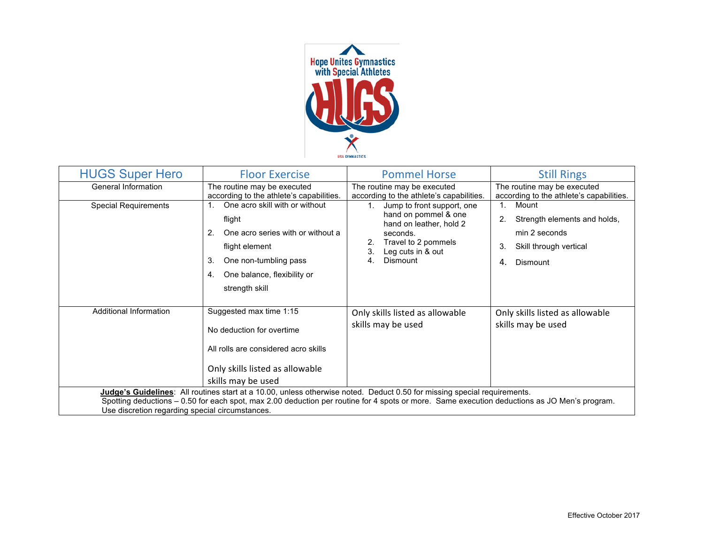

| <b>HUGS Super Hero</b>                                                                                                                                                                                                                                                                                                      | <b>Floor Exercise</b>                                                                                                                                                                       | <b>Pommel Horse</b>                                                                                                                                                                          | <b>Still Rings</b>                                                                                                  |
|-----------------------------------------------------------------------------------------------------------------------------------------------------------------------------------------------------------------------------------------------------------------------------------------------------------------------------|---------------------------------------------------------------------------------------------------------------------------------------------------------------------------------------------|----------------------------------------------------------------------------------------------------------------------------------------------------------------------------------------------|---------------------------------------------------------------------------------------------------------------------|
| General Information                                                                                                                                                                                                                                                                                                         | The routine may be executed<br>according to the athlete's capabilities.                                                                                                                     | The routine may be executed<br>according to the athlete's capabilities.                                                                                                                      | The routine may be executed<br>according to the athlete's capabilities.                                             |
| <b>Special Requirements</b>                                                                                                                                                                                                                                                                                                 | One acro skill with or without<br>flight<br>One acro series with or without a<br>2.<br>flight element<br>3.<br>One non-tumbling pass<br>One balance, flexibility or<br>4.<br>strength skill | 1 <sup>1</sup><br>Jump to front support, one<br>hand on pommel & one<br>hand on leather, hold 2<br>seconds.<br>Travel to 2 pommels<br>2.<br>3.<br>Leg cuts in & out<br><b>Dismount</b><br>4. | Mount<br>$1_{-}$<br>Strength elements and holds,<br>min 2 seconds<br>Skill through vertical<br>3.<br>4.<br>Dismount |
| Additional Information                                                                                                                                                                                                                                                                                                      | Suggested max time 1:15<br>No deduction for overtime<br>All rolls are considered acro skills<br>Only skills listed as allowable<br>skills may be used                                       | Only skills listed as allowable<br>skills may be used                                                                                                                                        | Only skills listed as allowable<br>skills may be used                                                               |
| Judge's Guidelines: All routines start at a 10.00, unless otherwise noted. Deduct 0.50 for missing special requirements.<br>Spotting deductions - 0.50 for each spot, max 2.00 deduction per routine for 4 spots or more. Same execution deductions as JO Men's program.<br>Use discretion regarding special circumstances. |                                                                                                                                                                                             |                                                                                                                                                                                              |                                                                                                                     |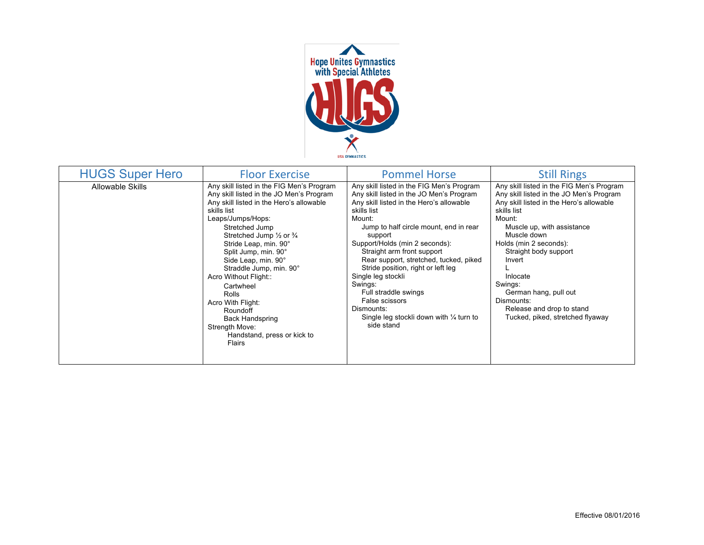

| <b>HUGS Super Hero</b>  | <b>Floor Exercise</b>                                                                                                                                                                                                                                                                                                                                                                                                                                                                                                   | <b>Pommel Horse</b>                                                                                                                                                                                                                                                                                                                                                                                                                                                                                                          | <b>Still Rings</b>                                                                                                                                                                                                                                                                                                                                                                                  |
|-------------------------|-------------------------------------------------------------------------------------------------------------------------------------------------------------------------------------------------------------------------------------------------------------------------------------------------------------------------------------------------------------------------------------------------------------------------------------------------------------------------------------------------------------------------|------------------------------------------------------------------------------------------------------------------------------------------------------------------------------------------------------------------------------------------------------------------------------------------------------------------------------------------------------------------------------------------------------------------------------------------------------------------------------------------------------------------------------|-----------------------------------------------------------------------------------------------------------------------------------------------------------------------------------------------------------------------------------------------------------------------------------------------------------------------------------------------------------------------------------------------------|
| <b>Allowable Skills</b> | Any skill listed in the FIG Men's Program<br>Any skill listed in the JO Men's Program<br>Any skill listed in the Hero's allowable<br>skills list<br>Leaps/Jumps/Hops:<br>Stretched Jump<br>Stretched Jump $\frac{1}{2}$ or $\frac{3}{4}$<br>Stride Leap, min. 90°<br>Split Jump, min. 90°<br>Side Leap, min. 90°<br>Straddle Jump, min. 90°<br>Acro Without Flight::<br>Cartwheel<br>Rolls<br>Acro With Flight:<br>Roundoff<br><b>Back Handspring</b><br>Strength Move:<br>Handstand, press or kick to<br><b>Flairs</b> | Any skill listed in the FIG Men's Program<br>Any skill listed in the JO Men's Program<br>Any skill listed in the Hero's allowable<br>skills list<br>Mount:<br>Jump to half circle mount, end in rear<br>support<br>Support/Holds (min 2 seconds):<br>Straight arm front support<br>Rear support, stretched, tucked, piked<br>Stride position, right or left leg<br>Single leg stockli<br>Swings:<br>Full straddle swings<br>False scissors<br>Dismounts:<br>Single leg stockli down with $\frac{1}{4}$ turn to<br>side stand | Any skill listed in the FIG Men's Program<br>Any skill listed in the JO Men's Program<br>Any skill listed in the Hero's allowable<br>skills list<br>Mount:<br>Muscle up, with assistance<br>Muscle down<br>Holds (min 2 seconds):<br>Straight body support<br>Invert<br>Inlocate<br>Swings:<br>German hang, pull out<br>Dismounts:<br>Release and drop to stand<br>Tucked, piked, stretched flyaway |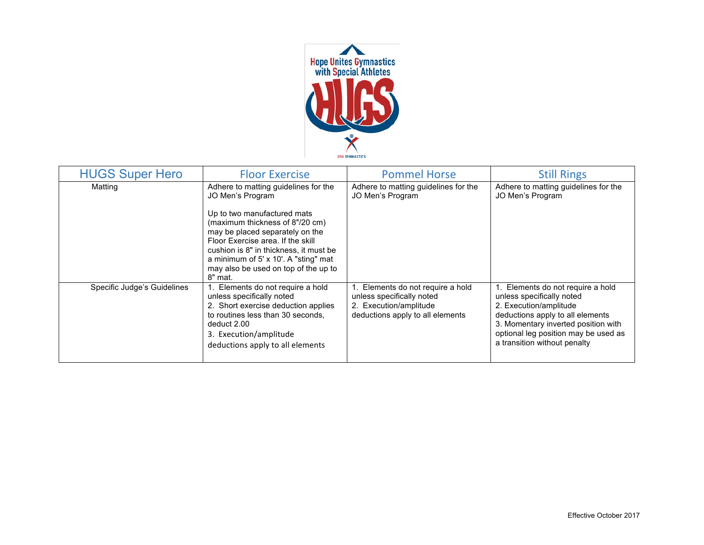

| <b>HUGS Super Hero</b>      | <b>Floor Exercise</b>                                                                                                                                                                                                                                                                                                                   | <b>Pommel Horse</b>                                                                                                          | <b>Still Rings</b>                                                                                                                                                                                                                          |
|-----------------------------|-----------------------------------------------------------------------------------------------------------------------------------------------------------------------------------------------------------------------------------------------------------------------------------------------------------------------------------------|------------------------------------------------------------------------------------------------------------------------------|---------------------------------------------------------------------------------------------------------------------------------------------------------------------------------------------------------------------------------------------|
| Matting                     | Adhere to matting guidelines for the<br>JO Men's Program<br>Up to two manufactured mats<br>(maximum thickness of 8"/20 cm)<br>may be placed separately on the<br>Floor Exercise area. If the skill<br>cushion is 8" in thickness, it must be<br>a minimum of 5' x 10'. A "sting" mat<br>may also be used on top of the up to<br>8" mat. | Adhere to matting guidelines for the<br>JO Men's Program                                                                     | Adhere to matting guidelines for the<br>JO Men's Program                                                                                                                                                                                    |
| Specific Judge's Guidelines | Elements do not require a hold<br>unless specifically noted<br>2. Short exercise deduction applies<br>to routines less than 30 seconds,<br>deduct 2.00<br>3. Execution/amplitude<br>deductions apply to all elements                                                                                                                    | 1. Elements do not require a hold<br>unless specifically noted<br>2. Execution/amplitude<br>deductions apply to all elements | 1. Elements do not require a hold<br>unless specifically noted<br>2. Execution/amplitude<br>deductions apply to all elements<br>3. Momentary inverted position with<br>optional leg position may be used as<br>a transition without penalty |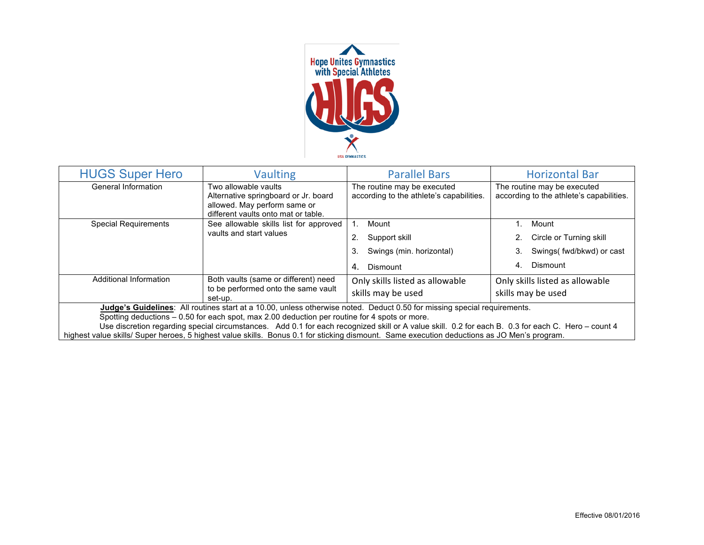

| <b>HUGS Super Hero</b>                                                                                                                                                                                                                                                                                                                                                                                                                                                                                                         | <b>Vaulting</b>                                                                                                                     | <b>Parallel Bars</b>                                                    | <b>Horizontal Bar</b>                                                   |  |
|--------------------------------------------------------------------------------------------------------------------------------------------------------------------------------------------------------------------------------------------------------------------------------------------------------------------------------------------------------------------------------------------------------------------------------------------------------------------------------------------------------------------------------|-------------------------------------------------------------------------------------------------------------------------------------|-------------------------------------------------------------------------|-------------------------------------------------------------------------|--|
| General Information                                                                                                                                                                                                                                                                                                                                                                                                                                                                                                            | Two allowable vaults<br>Alternative springboard or Jr. board<br>allowed. May perform same or<br>different vaults onto mat or table. | The routine may be executed<br>according to the athlete's capabilities. | The routine may be executed<br>according to the athlete's capabilities. |  |
| <b>Special Requirements</b>                                                                                                                                                                                                                                                                                                                                                                                                                                                                                                    | See allowable skills list for approved                                                                                              | Mount                                                                   | Mount                                                                   |  |
|                                                                                                                                                                                                                                                                                                                                                                                                                                                                                                                                | vaults and start values                                                                                                             | Support skill                                                           | 2. Circle or Turning skill                                              |  |
|                                                                                                                                                                                                                                                                                                                                                                                                                                                                                                                                |                                                                                                                                     | Swings (min. horizontal)<br>3.                                          | Swings( fwd/bkwd) or cast<br>3.                                         |  |
|                                                                                                                                                                                                                                                                                                                                                                                                                                                                                                                                |                                                                                                                                     | Dismount<br>4.                                                          | Dismount<br>4.                                                          |  |
| Additional Information                                                                                                                                                                                                                                                                                                                                                                                                                                                                                                         | Both vaults (same or different) need                                                                                                | Only skills listed as allowable                                         | Only skills listed as allowable                                         |  |
|                                                                                                                                                                                                                                                                                                                                                                                                                                                                                                                                | to be performed onto the same vault<br>set-up.                                                                                      | skills may be used                                                      | skills may be used                                                      |  |
| Judge's Guidelines: All routines start at a 10.00, unless otherwise noted. Deduct 0.50 for missing special requirements.<br>Spotting deductions – 0.50 for each spot, max 2.00 deduction per routine for 4 spots or more.<br>Use discretion regarding special circumstances. Add 0.1 for each recognized skill or A value skill. 0.2 for each B. 0.3 for each C. Hero - count 4<br>highest value skills/ Super heroes, 5 highest value skills. Bonus 0.1 for sticking dismount. Same execution deductions as JO Men's program. |                                                                                                                                     |                                                                         |                                                                         |  |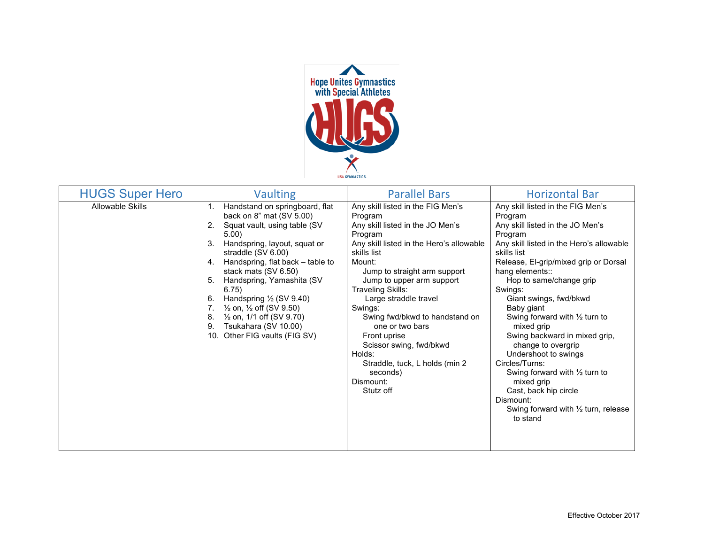

| <b>HUGS Super Hero</b> | <b>Vaulting</b>                                                                                                                                                                                                                                                                                                                                                                                                                                                                                                      | <b>Parallel Bars</b>                                                                                                                                                                                                                                                                                                                                                                                                                                                             | <b>Horizontal Bar</b>                                                                                                                                                                                                                                                                                                                                                                                                                                                                                                                                                                                           |
|------------------------|----------------------------------------------------------------------------------------------------------------------------------------------------------------------------------------------------------------------------------------------------------------------------------------------------------------------------------------------------------------------------------------------------------------------------------------------------------------------------------------------------------------------|----------------------------------------------------------------------------------------------------------------------------------------------------------------------------------------------------------------------------------------------------------------------------------------------------------------------------------------------------------------------------------------------------------------------------------------------------------------------------------|-----------------------------------------------------------------------------------------------------------------------------------------------------------------------------------------------------------------------------------------------------------------------------------------------------------------------------------------------------------------------------------------------------------------------------------------------------------------------------------------------------------------------------------------------------------------------------------------------------------------|
| Allowable Skills       | Handstand on springboard, flat<br>$\mathbf{1}$ .<br>back on 8" mat (SV 5.00)<br>2.<br>Squat vault, using table (SV<br>5.00)<br>3.<br>Handspring, layout, squat or<br>straddle (SV 6.00)<br>Handspring, flat back - table to<br>4.<br>stack mats (SV 6.50)<br>Handspring, Yamashita (SV<br>5.<br>6.75)<br>Handspring $\frac{1}{2}$ (SV 9.40)<br>6.<br>7.<br>$\frac{1}{2}$ on, $\frac{1}{2}$ off (SV 9.50)<br>$\frac{1}{2}$ on, 1/1 off (SV 9.70)<br>8.<br>Tsukahara (SV 10.00)<br>9.<br>10. Other FIG vaults (FIG SV) | Any skill listed in the FIG Men's<br>Program<br>Any skill listed in the JO Men's<br>Program<br>Any skill listed in the Hero's allowable<br>skills list<br>Mount:<br>Jump to straight arm support<br>Jump to upper arm support<br><b>Traveling Skills:</b><br>Large straddle travel<br>Swings:<br>Swing fwd/bkwd to handstand on<br>one or two bars<br>Front uprise<br>Scissor swing, fwd/bkwd<br>Holds:<br>Straddle, tuck, L holds (min 2)<br>seconds)<br>Dismount:<br>Stutz off | Any skill listed in the FIG Men's<br>Program<br>Any skill listed in the JO Men's<br>Program<br>Any skill listed in the Hero's allowable<br>skills list<br>Release, El-grip/mixed grip or Dorsal<br>hang elements::<br>Hop to same/change grip<br>Swings:<br>Giant swings, fwd/bkwd<br>Baby giant<br>Swing forward with $\frac{1}{2}$ turn to<br>mixed grip<br>Swing backward in mixed grip,<br>change to overgrip<br>Undershoot to swings<br>Circles/Turns:<br>Swing forward with $\frac{1}{2}$ turn to<br>mixed grip<br>Cast, back hip circle<br>Dismount:<br>Swing forward with 1/2 turn, release<br>to stand |